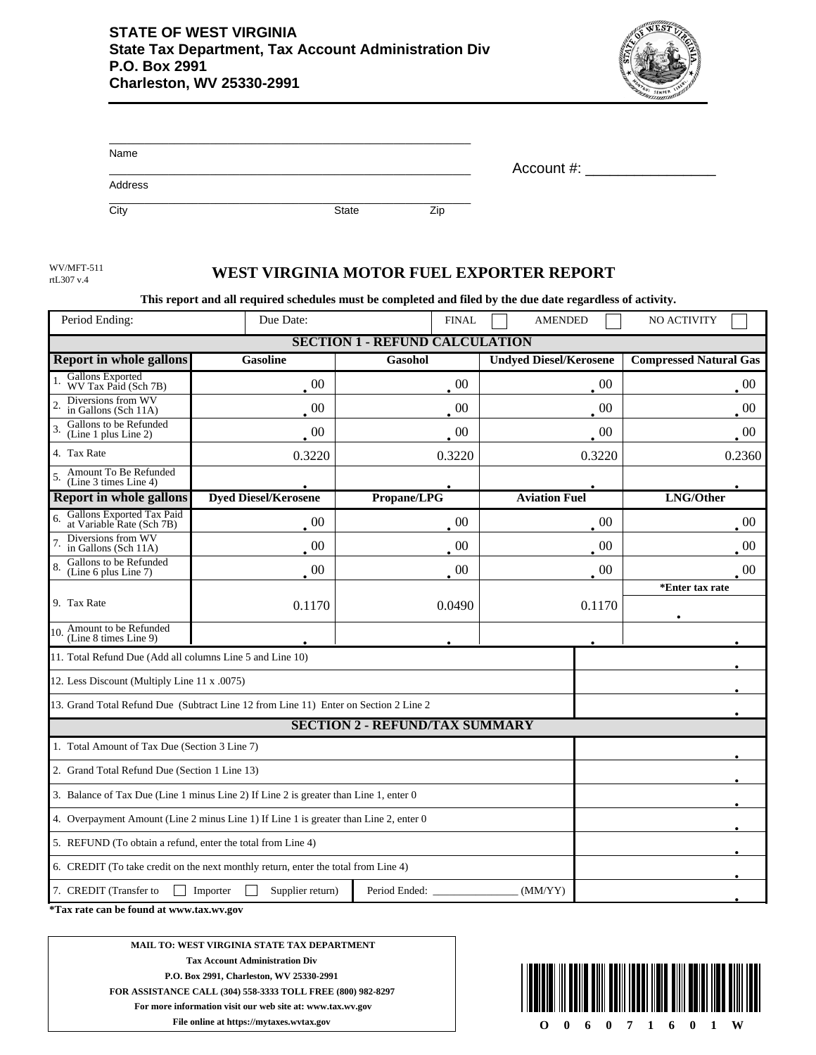

| Name    |              |     |            |
|---------|--------------|-----|------------|
|         |              |     | Account #: |
| Address |              |     |            |
| City    | <b>State</b> | Zip |            |

rtL307 v.4

## WV/MFT-511 **WEST VIRGINIA MOTOR FUEL EXPORTER REPORT**

**This report and all required schedules must be completed and filed by the due date regardless of activity.**

| Period Ending:                                                                        | Due Date:                   |                                       | <b>AMENDED</b>                | <b>NO ACTIVITY</b>            |  |  |  |
|---------------------------------------------------------------------------------------|-----------------------------|---------------------------------------|-------------------------------|-------------------------------|--|--|--|
| <b>SECTION 1</b><br>- REFUND CALCULATION                                              |                             |                                       |                               |                               |  |  |  |
| <b>Report in whole gallons</b>                                                        | <b>Gasoline</b>             | Gasohol                               | <b>Undyed Diesel/Kerosene</b> | <b>Compressed Natural Gas</b> |  |  |  |
| <b>Gallons Exported</b><br>WV Tax Paid (Sch 7B)                                       | $\sim 00$                   | -00                                   | $_{00}$                       | $00\,$                        |  |  |  |
| Diversions from WV<br>in Gallons (Sch 11A)                                            | $\cdot$ 00                  | $\overline{00}$                       | $\sim 00$                     | $_{00}$                       |  |  |  |
| Gallons to be Refunded<br>(Line 1 plus Line 2)                                        | $\,00$                      | $00\,$                                | $\overline{00}$               | $\overline{00}$               |  |  |  |
| 4. Tax Rate                                                                           | 0.3220                      | 0.3220                                | 0.3220                        | 0.2360                        |  |  |  |
| Amount To Be Refunded<br>5<br>(Line 3 times Line 4)                                   |                             |                                       |                               |                               |  |  |  |
| <b>Report in whole gallons</b>                                                        | <b>Dyed Diesel/Kerosene</b> | Propane/LPG                           | <b>Aviation Fuel</b>          | LNG/Other                     |  |  |  |
| Gallons Exported Tax Paid<br>at Variable Rate (Sch 7B)                                | $00\,$                      | 00                                    | 00                            | 00                            |  |  |  |
| Diversions from WV<br>in Gallons (Sch 11A)                                            | 00                          | 00                                    | 00                            | 00                            |  |  |  |
| Gallons to be Refunded<br>(Line 6 plus Line 7)                                        | $\cdot$ 00                  | $00\,$                                | $\cdot$ 00                    | $00\,$                        |  |  |  |
|                                                                                       |                             |                                       |                               | *Enter tax rate               |  |  |  |
| 9. Tax Rate                                                                           | 0.1170                      | 0.0490                                | 0.1170                        |                               |  |  |  |
| 10. Amount to be Refunded<br>(Line 8 times Line 9)                                    |                             |                                       |                               |                               |  |  |  |
| 11. Total Refund Due (Add all columns Line 5 and Line 10)                             |                             |                                       |                               |                               |  |  |  |
| 12. Less Discount (Multiply Line 11 x .0075)                                          |                             |                                       |                               |                               |  |  |  |
| 13. Grand Total Refund Due (Subtract Line 12 from Line 11) Enter on Section 2 Line 2  |                             |                                       |                               |                               |  |  |  |
|                                                                                       |                             | <b>SECTION 2 - REFUND/TAX SUMMARY</b> |                               |                               |  |  |  |
| 1. Total Amount of Tax Due (Section 3 Line 7)                                         |                             |                                       |                               |                               |  |  |  |
| 2. Grand Total Refund Due (Section 1 Line 13)                                         |                             |                                       |                               |                               |  |  |  |
| 3. Balance of Tax Due (Line 1 minus Line 2) If Line 2 is greater than Line 1, enter 0 |                             |                                       |                               |                               |  |  |  |
| 4. Overpayment Amount (Line 2 minus Line 1) If Line 1 is greater than Line 2, enter 0 |                             |                                       |                               |                               |  |  |  |
| 5. REFUND (To obtain a refund, enter the total from Line 4)                           |                             |                                       |                               |                               |  |  |  |
| 6. CREDIT (To take credit on the next monthly return, enter the total from Line 4)    |                             |                                       |                               |                               |  |  |  |
| 7. CREDIT (Transfer to<br>Importer<br>Supplier return)<br>Period Ended:<br>(MM/YY)    |                             |                                       |                               |                               |  |  |  |

**\*Tax rate can be found at www.tax.wv.gov** 

**MAIL TO: WEST VIRGINIA STATE TAX DEPARTMENT Tax Account Administration Div P.O. Box 2991, Charleston, WV 25330-2991 FOR ASSISTANCE CALL (304) 558-3333 TOLL FREE (800) 982-8297 For more information visit our web site at: www.tax.wv.gov**